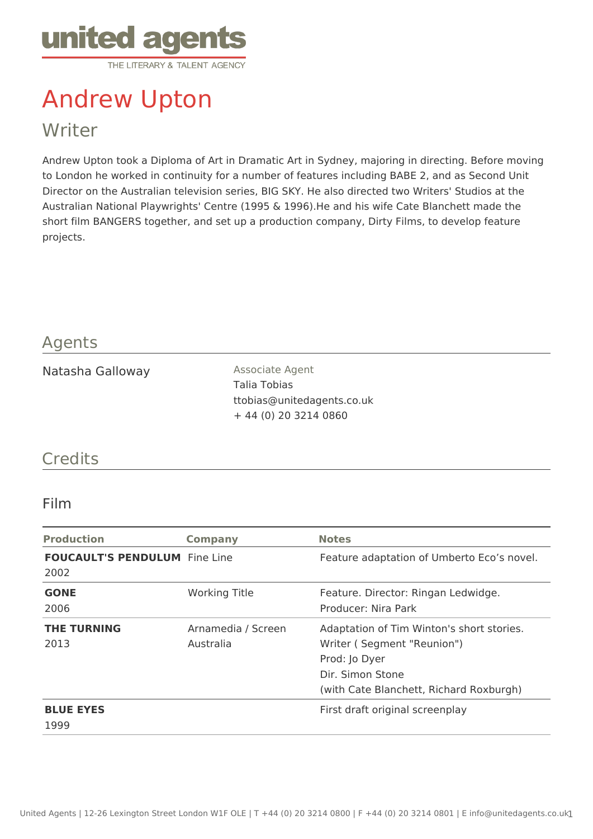

# Andrew Upton

Writer

Andrew Upton took a Diploma of Art in Dramatic Art in Sydney, majoring in directing. Before moving to London he worked in continuity for a number of features including BABE 2, and as Second Unit Director on the Australian television series, BIG SKY. He also directed two Writers' Studios at the Australian National Playwrights' Centre (1995 & 1996).He and his wife Cate Blanchett made the short film BANGERS together, and set up a production company, Dirty Films, to develop feature projects.

# Agents

Natasha Galloway **Associate Agent** 

Talia Tobias ttobias@unitedagents.co.uk + 44 (0) 20 3214 0860

# **Credits**

#### Film

| <b>Production</b>                            | <b>Company</b>                  | <b>Notes</b>                                                                                                                                            |
|----------------------------------------------|---------------------------------|---------------------------------------------------------------------------------------------------------------------------------------------------------|
| <b>FOUCAULT'S PENDULUM Fine Line</b><br>2002 |                                 | Feature adaptation of Umberto Eco's novel.                                                                                                              |
| <b>GONE</b><br>2006                          | <b>Working Title</b>            | Feature. Director: Ringan Ledwidge.<br>Producer: Nira Park                                                                                              |
| <b>THE TURNING</b><br>2013                   | Arnamedia / Screen<br>Australia | Adaptation of Tim Winton's short stories.<br>Writer (Segment "Reunion")<br>Prod: Jo Dyer<br>Dir. Simon Stone<br>(with Cate Blanchett, Richard Roxburgh) |
| <b>BLUE EYES</b><br>1999                     |                                 | First draft original screenplay                                                                                                                         |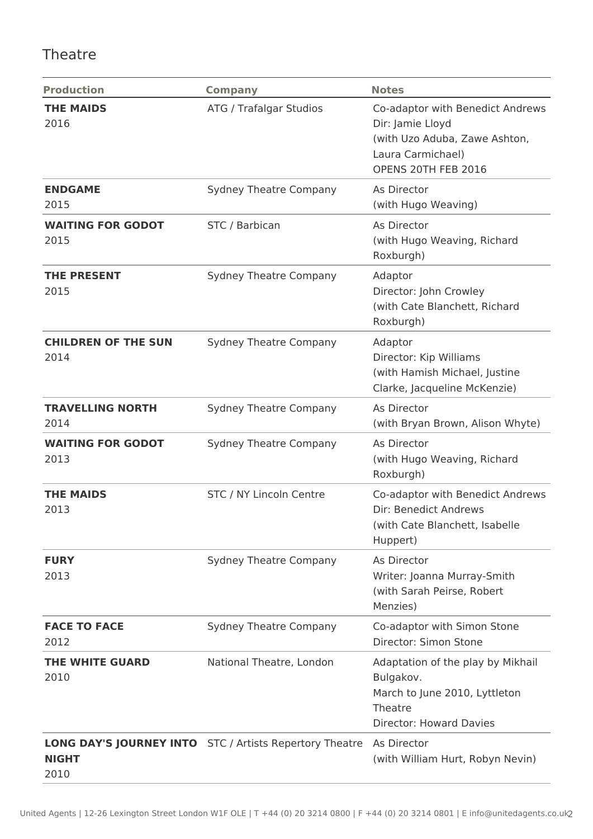# **Theatre**

| <b>Production</b>                  | <b>Company</b>                                                                                                   | <b>Notes</b>                                                                                                                      |
|------------------------------------|------------------------------------------------------------------------------------------------------------------|-----------------------------------------------------------------------------------------------------------------------------------|
| <b>THE MAIDS</b><br>2016           | ATG / Trafalgar Studios                                                                                          | Co-adaptor with Benedict Andrews<br>Dir: Jamie Lloyd<br>(with Uzo Aduba, Zawe Ashton,<br>Laura Carmichael)<br>OPENS 20TH FEB 2016 |
| <b>ENDGAME</b><br>2015             | <b>Sydney Theatre Company</b>                                                                                    | As Director<br>(with Hugo Weaving)                                                                                                |
| <b>WAITING FOR GODOT</b><br>2015   | STC / Barbican                                                                                                   | As Director<br>(with Hugo Weaving, Richard<br>Roxburgh)                                                                           |
| <b>THE PRESENT</b><br>2015         | <b>Sydney Theatre Company</b><br>Adaptor<br>Director: John Crowley<br>(with Cate Blanchett, Richard<br>Roxburgh) |                                                                                                                                   |
| <b>CHILDREN OF THE SUN</b><br>2014 | <b>Sydney Theatre Company</b>                                                                                    | Adaptor<br>Director: Kip Williams<br>(with Hamish Michael, Justine<br>Clarke, Jacqueline McKenzie)                                |
| <b>TRAVELLING NORTH</b><br>2014    | <b>Sydney Theatre Company</b>                                                                                    | As Director<br>(with Bryan Brown, Alison Whyte)                                                                                   |
| <b>WAITING FOR GODOT</b><br>2013   | <b>Sydney Theatre Company</b>                                                                                    | As Director<br>(with Hugo Weaving, Richard<br>Roxburgh)                                                                           |
| <b>THE MAIDS</b><br>2013           | STC / NY Lincoln Centre                                                                                          | Co-adaptor with Benedict Andrews<br>Dir: Benedict Andrews<br>(with Cate Blanchett, Isabelle<br>Huppert)                           |
| <b>FURY</b><br>2013                | <b>Sydney Theatre Company</b>                                                                                    | As Director<br>Writer: Joanna Murray-Smith<br>(with Sarah Peirse, Robert<br>Menzies)                                              |
| <b>FACE TO FACE</b><br>2012        | <b>Sydney Theatre Company</b>                                                                                    | Co-adaptor with Simon Stone<br>Director: Simon Stone                                                                              |
| THE WHITE GUARD<br>2010            | National Theatre, London                                                                                         | Adaptation of the play by Mikhail<br>Bulgakov.<br>March to June 2010, Lyttleton<br>Theatre<br><b>Director: Howard Davies</b>      |
| <b>NIGHT</b><br>2010               | <b>LONG DAY'S JOURNEY INTO</b> STC / Artists Repertory Theatre                                                   | As Director<br>(with William Hurt, Robyn Nevin)                                                                                   |